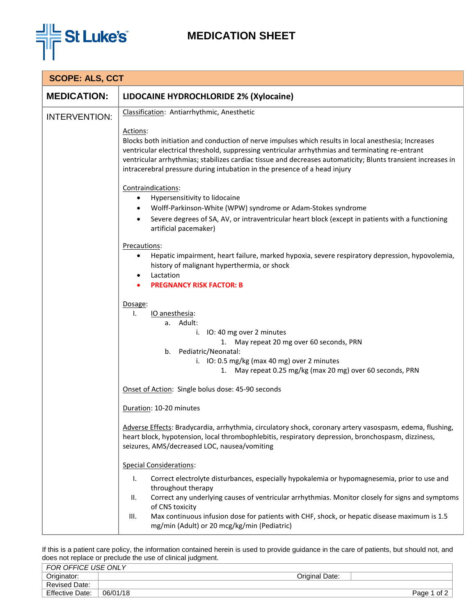

## **MEDICATION SHEET**

| <b>SCOPE: ALS, CCT</b> |                                                                                                                                                                                                                                                                                                                                                                                                                                                                                       |  |
|------------------------|---------------------------------------------------------------------------------------------------------------------------------------------------------------------------------------------------------------------------------------------------------------------------------------------------------------------------------------------------------------------------------------------------------------------------------------------------------------------------------------|--|
| <b>MEDICATION:</b>     | LIDOCAINE HYDROCHLORIDE 2% (Xylocaine)                                                                                                                                                                                                                                                                                                                                                                                                                                                |  |
| <b>INTERVENTION:</b>   | Classification: Antiarrhythmic, Anesthetic<br>Actions:<br>Blocks both initiation and conduction of nerve impulses which results in local anesthesia; Increases<br>ventricular electrical threshold, suppressing ventricular arrhythmias and terminating re-entrant<br>ventricular arrhythmias; stabilizes cardiac tissue and decreases automaticity; Blunts transient increases in<br>intracerebral pressure during intubation in the presence of a head injury<br>Contraindications: |  |
|                        | Hypersensitivity to lidocaine<br>$\bullet$<br>Wolff-Parkinson-White (WPW) syndrome or Adam-Stokes syndrome<br>٠                                                                                                                                                                                                                                                                                                                                                                       |  |
|                        | Severe degrees of SA, AV, or intraventricular heart block (except in patients with a functioning<br>artificial pacemaker)                                                                                                                                                                                                                                                                                                                                                             |  |
|                        | Precautions:<br>Hepatic impairment, heart failure, marked hypoxia, severe respiratory depression, hypovolemia,<br>$\bullet$<br>history of malignant hyperthermia, or shock<br>Lactation<br><b>PREGNANCY RISK FACTOR: B</b>                                                                                                                                                                                                                                                            |  |
|                        | Dosage:<br>IO anesthesia:<br>Ι.<br>a. Adult:<br>i. IO: 40 mg over 2 minutes<br>1. May repeat 20 mg over 60 seconds, PRN<br>Pediatric/Neonatal:<br>b.<br>i. IO: 0.5 mg/kg (max 40 mg) over 2 minutes<br>1. May repeat 0.25 mg/kg (max 20 mg) over 60 seconds, PRN                                                                                                                                                                                                                      |  |
|                        | Onset of Action: Single bolus dose: 45-90 seconds                                                                                                                                                                                                                                                                                                                                                                                                                                     |  |
|                        | Duration: 10-20 minutes                                                                                                                                                                                                                                                                                                                                                                                                                                                               |  |
|                        | Adverse Effects: Bradycardia, arrhythmia, circulatory shock, coronary artery vasospasm, edema, flushing,<br>heart block, hypotension, local thrombophlebitis, respiratory depression, bronchospasm, dizziness,<br>seizures, AMS/decreased LOC, nausea/vomiting                                                                                                                                                                                                                        |  |
|                        | <b>Special Considerations:</b>                                                                                                                                                                                                                                                                                                                                                                                                                                                        |  |
|                        | Τ.<br>Correct electrolyte disturbances, especially hypokalemia or hypomagnesemia, prior to use and<br>throughout therapy<br>Correct any underlying causes of ventricular arrhythmias. Monitor closely for signs and symptoms<br>ΙΙ.<br>of CNS toxicity                                                                                                                                                                                                                                |  |
|                        | Max continuous infusion dose for patients with CHF, shock, or hepatic disease maximum is 1.5<br>III.<br>mg/min (Adult) or 20 mcg/kg/min (Pediatric)                                                                                                                                                                                                                                                                                                                                   |  |

If this is a patient care policy, the information contained herein is used to provide guidance in the care of patients, but should not, and does not replace or preclude the use of clinical judgment.

| Originator:<br>Original Date:              |        |
|--------------------------------------------|--------|
| Revised Date:                              |        |
| <b>Effective Date:</b><br>06/01/18<br>Page | of $2$ |